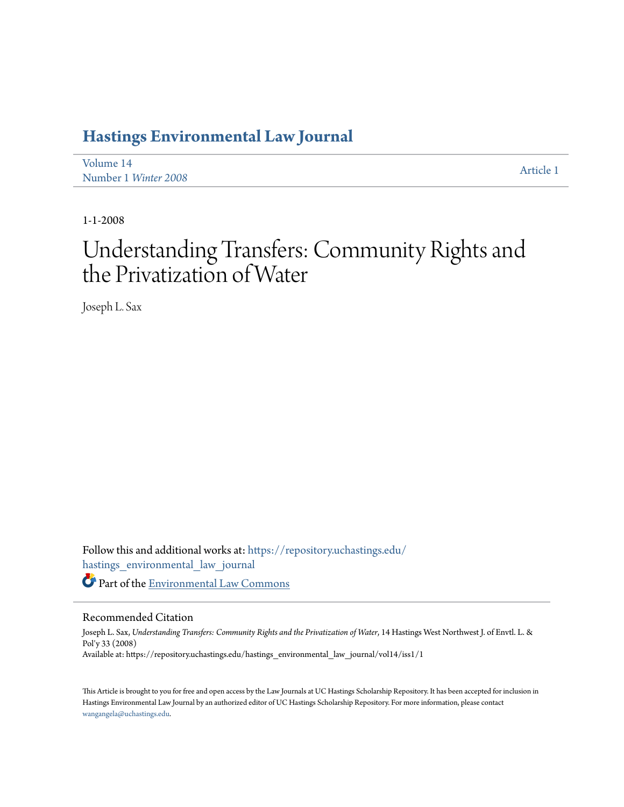# **[Hastings Environmental Law Journal](https://repository.uchastings.edu/hastings_environmental_law_journal?utm_source=repository.uchastings.edu%2Fhastings_environmental_law_journal%2Fvol14%2Fiss1%2F1&utm_medium=PDF&utm_campaign=PDFCoverPages)**

[Volume 14](https://repository.uchastings.edu/hastings_environmental_law_journal/vol14?utm_source=repository.uchastings.edu%2Fhastings_environmental_law_journal%2Fvol14%2Fiss1%2F1&utm_medium=PDF&utm_campaign=PDFCoverPages) Number 1 *[Winter 2008](https://repository.uchastings.edu/hastings_environmental_law_journal/vol14/iss1?utm_source=repository.uchastings.edu%2Fhastings_environmental_law_journal%2Fvol14%2Fiss1%2F1&utm_medium=PDF&utm_campaign=PDFCoverPages)* [Article 1](https://repository.uchastings.edu/hastings_environmental_law_journal/vol14/iss1/1?utm_source=repository.uchastings.edu%2Fhastings_environmental_law_journal%2Fvol14%2Fiss1%2F1&utm_medium=PDF&utm_campaign=PDFCoverPages)

1-1-2008

# Understanding Transfers: Community Rights and the Privatization of Water

Joseph L. Sax

Follow this and additional works at: [https://repository.uchastings.edu/](https://repository.uchastings.edu/hastings_environmental_law_journal?utm_source=repository.uchastings.edu%2Fhastings_environmental_law_journal%2Fvol14%2Fiss1%2F1&utm_medium=PDF&utm_campaign=PDFCoverPages) [hastings\\_environmental\\_law\\_journal](https://repository.uchastings.edu/hastings_environmental_law_journal?utm_source=repository.uchastings.edu%2Fhastings_environmental_law_journal%2Fvol14%2Fiss1%2F1&utm_medium=PDF&utm_campaign=PDFCoverPages) Part of the [Environmental Law Commons](http://network.bepress.com/hgg/discipline/599?utm_source=repository.uchastings.edu%2Fhastings_environmental_law_journal%2Fvol14%2Fiss1%2F1&utm_medium=PDF&utm_campaign=PDFCoverPages)

# Recommended Citation

Joseph L. Sax, *Understanding Transfers: Community Rights and the Privatization of Water*, 14 Hastings West Northwest J. of Envtl. L. & Pol'y 33 (2008) Available at: https://repository.uchastings.edu/hastings\_environmental\_law\_journal/vol14/iss1/1

This Article is brought to you for free and open access by the Law Journals at UC Hastings Scholarship Repository. It has been accepted for inclusion in Hastings Environmental Law Journal by an authorized editor of UC Hastings Scholarship Repository. For more information, please contact [wangangela@uchastings.edu](mailto:wangangela@uchastings.edu).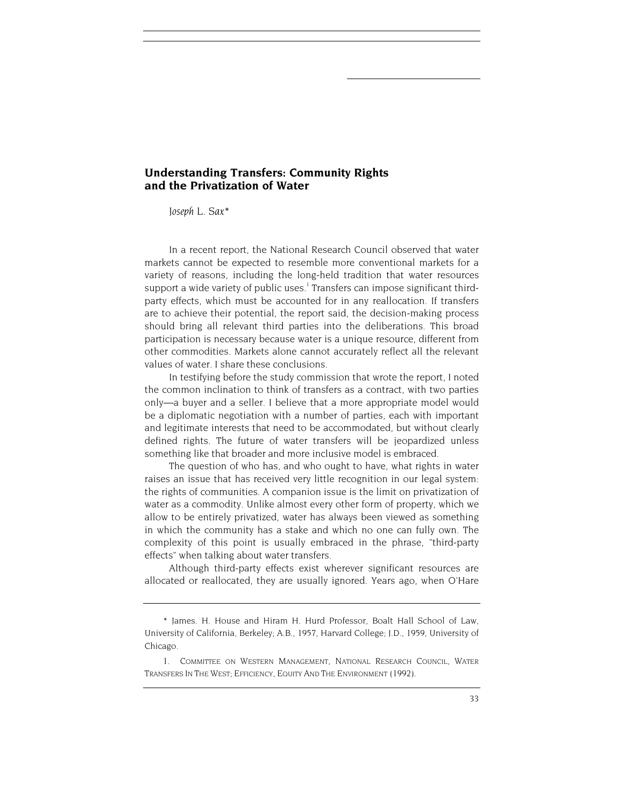# **Understanding Transfers: Community Rights and the Privatization of Water**

*Joseph L. Sax\**

In a recent report, the National Research Council observed that water markets cannot be expected to resemble more conventional markets for a variety of reasons, including the long-held tradition that water resources support a wide variety of public uses.<sup>1</sup> Transfers can impose significant thirdparty effects, which must be accounted for in any reallocation. If transfers are to achieve their potential, the report said, the decision-making process should bring all relevant third parties into the deliberations. This broad participation is necessary because water is a unique resource, different from other commodities. Markets alone cannot accurately reflect all the relevant values of water. I share these conclusions.

In testifying before the study commission that wrote the report, I noted the common inclination to think of transfers as a contract, with two parties only—a buyer and a seller. I believe that a more appropriate model would be a diplomatic negotiation with a number of parties, each with important and legitimate interests that need to be accommodated, but without clearly defined rights. The future of water transfers will be jeopardized unless something like that broader and more inclusive model is embraced.

The question of who has, and who ought to have, what rights in water raises an issue that has received very little recognition in our legal system: the rights of communities. A companion issue is the limit on privatization of water as a commodity. Unlike almost every other form of property, which we allow to be entirely privatized, water has always been viewed as something in which the community has a stake and which no one can fully own. The complexity of this point is usually embraced in the phrase, "third-party effects" when talking about water transfers.

Although third-party effects exist wherever significant resources are allocated or reallocated, they are usually ignored. Years ago, when O'Hare

<sup>\*</sup> James. H. House and Hiram H. Hurd Professor, Boalt Hall School of Law, University of California, Berkeley; A.B., 1957, Harvard College; J.D., 1959, University of Chicago.

*<sup>1.</sup> COMMITTEE ON WESTERN MANAGEMENT, NATIONAL RESEARCH COUNCIL, WATER TRANSFERS* IN THE *WEST; EFFICIENCY, EQUITY* AND THE *ENVIRONMENT (1992).*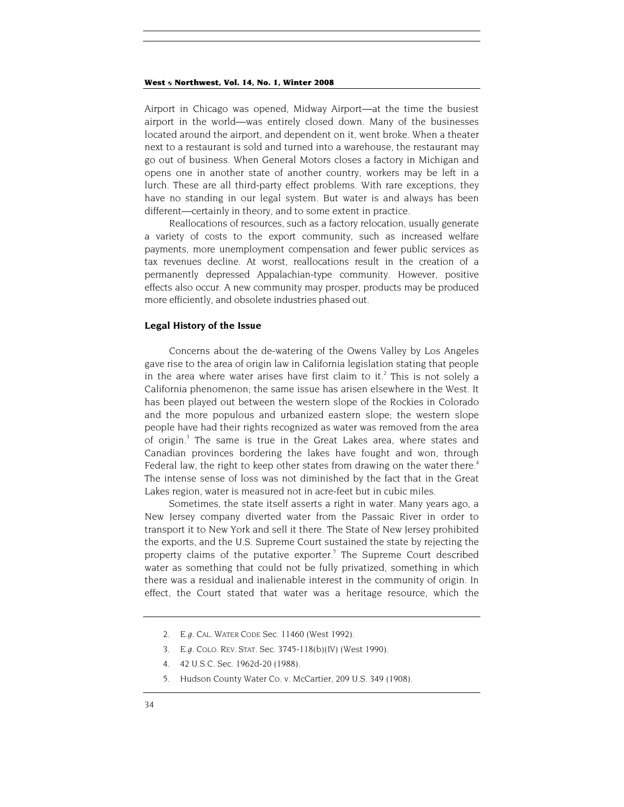#### West 6 Northwest, Vol. 14, No. 1, Winter 2008

Airport in Chicago was opened, Midway Airport—at the time the busiest airport in the world—was entirely closed down. Many of the businesses located around the airport, and dependent on it, went broke. When a theater next to a restaurant is sold and turned into a warehouse, the restaurant may go out of business. When General Motors closes a factory in Michigan and opens one in another state of another country, workers may be left in a lurch. These are all third-party effect problems. With rare exceptions, they have no standing in our legal system. But water is and always has been different—certainly in theory, and to some extent in practice.

Reallocations of resources, such as a factory relocation, usually generate a variety of costs to the export community, such as increased welfare payments, more unemployment compensation and fewer public services as tax revenues decline. At worst, reallocations result in the creation of a permanently depressed Appalachian-type community. However, positive effects also occur. A new community may prosper, products may be produced more efficiently, and obsolete industries phased out.

## **Legal History of the Issue**

Concerns about the de-watering of the Owens Valley by Los Angeles gave rise to the area of origin law in California legislation stating that people in the area where water arises have first claim to it.<sup>2</sup> This is not solely a California phenomenon; the same issue has arisen elsewhere in the West. It has been played out between the western slope of the Rockies in Colorado and the more populous and urbanized eastern slope; the western slope people have had their rights recognized as water was removed from the area of origin.<sup>3</sup> The same is true in the Great Lakes area, where states and Canadian provinces bordering the lakes have fought and won, through Federal law, the right to keep other states from drawing on the water there.<sup>4</sup> The intense sense of loss was not diminished by the fact that in the Great Lakes region, water is measured not in acre-feet but in cubic miles.

Sometimes, the state itself asserts a right in water. Many years ago, a New Jersey company diverted water from the Passaic River in order to transport it to New York and sell it there. The State of New Jersey prohibited the exports, and the U.S. Supreme Court sustained the state by rejecting the property claims of the putative exporter.<sup>5</sup> The Supreme Court described water as something that could not be fully privatized, something in which there was a residual and inalienable interest in the community of origin. In effect, the Court stated that water was a heritage resource, which the

- 3*. E.g.* COLO. REV. STAT. Sec. 3745-118(b)(IV) (West 1990).
- 4. 42 U.S.C. Sec. 1962d-20 (1988).
- 5. Hudson County Water Co. v. McCartier, 209 U.S. 349 (1908).

<sup>2</sup>*. E.g.* CAL. WATER CODE Sec. 11460 (West 1992).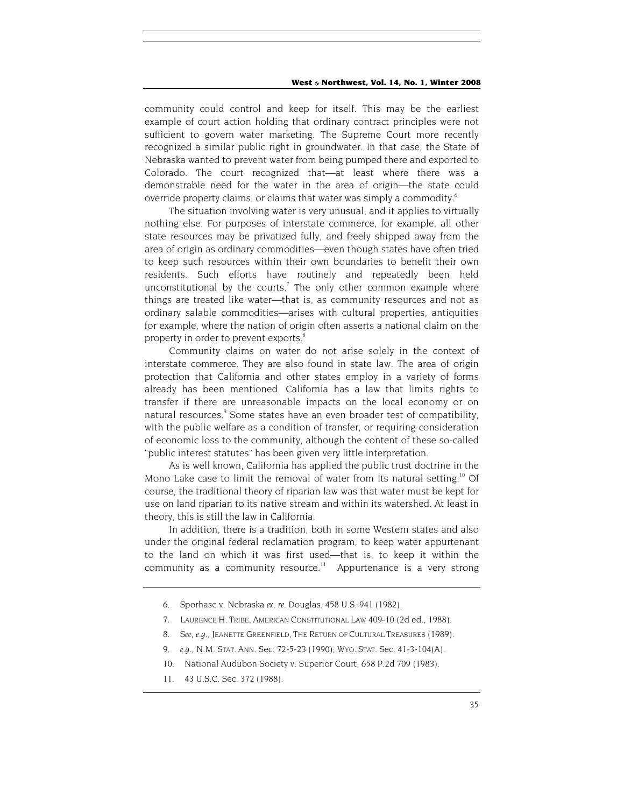community could control and keep for itself. This may be the earliest example of court action holding that ordinary contract principles were not sufficient to govern water marketing. The Supreme Court more recently recognized a similar public right in groundwater. In that case, the State of Nebraska wanted to prevent water from being pumped there and exported to Colorado. The court recognized that—at least where there was a demonstrable need for the water in the area of origin—the state could override property claims, or claims that water was simply a commodity.<sup>6</sup>

The situation involving water is very unusual, and it applies to virtually nothing else. For purposes of interstate commerce, for example, all other state resources may be privatized fully, and freely shipped away from the area of origin as ordinary commodities—even though states have often tried to keep such resources within their own boundaries to benefit their own residents. Such efforts have routinely and repeatedly been held unconstitutional by the courts.<sup>7</sup> The only other common example where things are treated like water—that is, as community resources and not as ordinary salable commodities—arises with cultural properties, antiquities for example, where the nation of origin often asserts a national claim on the property in order to prevent exports.<sup>8</sup>

Community claims on water do not arise solely in the context of interstate commerce. They are also found in state law. The area of origin protection that California and other states employ in a variety of forms already has been mentioned. California has a law that limits rights to transfer if there are unreasonable impacts on the local economy or on natural resources.<sup>9</sup> Some states have an even broader test of compatibility, with the public welfare as a condition of transfer, or requiring consideration of economic loss to the community, although the content of these so-called "public interest statutes" has been given very little interpretation.

As is well known, California has applied the public trust doctrine in the Mono Lake case to limit the removal of water from its natural setting.<sup>10</sup> Of course, the traditional theory of riparian law was that water must be kept for use on land riparian to its native stream and within its watershed. At least in theory, this is still the law in California.

In addition, there is a tradition, both in some Western states and also under the original federal reclamation program, to keep water appurtenant to the land on which it was first used—that is, to keep it within the community as a community resource.<sup>11</sup> Appurtenance is a very strong

- 6. Sporhase v. Nebraska *ex. re.* Douglas, 458 U.S. 941 (1982).
- 7. LAURENCE H. TRIBE, AMERICAN CONSTITUTIONAL LAW 409-10 (2d ed., 1988).
- 8*. See, e.g.,* JEANETTE GREENFIELD, THE RETURN OF CULTURAL TREASURES (1989).
- 9*. e.g.,* N.M. STAT. ANN. Sec. 72-5-23 (1990); WYO. STAT. Sec. 41-3-104(A).
- 10. National Audubon Society v. Superior Court, 658 P.2d 709 (1983).
- 11. 43 U.S.C. Sec. 372 (1988).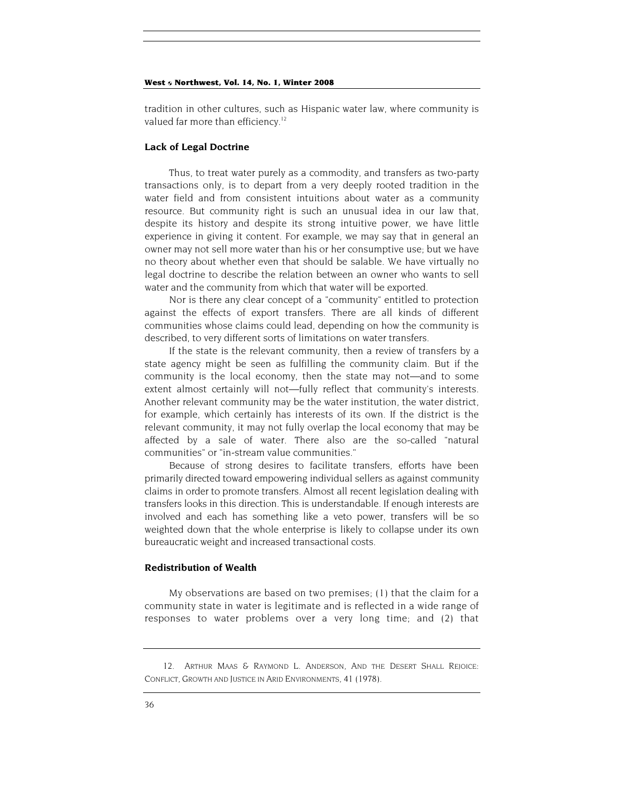#### West 6 Northwest, Vol. 14, No. 1, Winter 2008

tradition in other cultures, such as Hispanic water law, where community is valued far more than efficiency.<sup>12</sup>

## **Lack of Legal Doctrine**

Thus, to treat water purely as a commodity, and transfers as two-party transactions only, is to depart from a very deeply rooted tradition in the water field and from consistent intuitions about water as a community resource. But community right is such an unusual idea in our law that, despite its history and despite its strong intuitive power, we have little experience in giving it content. For example, we may say that in general an owner may not sell more water than his or her consumptive use; but we have no theory about whether even that should be salable. We have virtually no legal doctrine to describe the relation between an owner who wants to sell water and the community from which that water will be exported.

Nor is there any clear concept of a "community" entitled to protection against the effects of export transfers. There are all kinds of different communities whose claims could lead, depending on how the community is described, to very different sorts of limitations on water transfers.

If the state is the relevant community, then a review of transfers by a state agency might be seen as fulfilling the community claim. But if the community is the local economy, then the state may not—and to some extent almost certainly will not—fully reflect that community's interests. Another relevant community may be the water institution, the water district, for example, which certainly has interests of its own. If the district is the relevant community, it may not fully overlap the local economy that may be affected by a sale of water. There also are the so-called "natural communities" or "in-stream value communities."

Because of strong desires to facilitate transfers, efforts have been primarily directed toward empowering individual sellers as against community claims in order to promote transfers. Almost all recent legislation dealing with transfers looks in this direction. This is understandable. If enough interests are involved and each has something like a veto power, transfers will be so weighted down that the whole enterprise is likely to collapse under its own bureaucratic weight and increased transactional costs.

#### **Redistribution of Wealth**

My observations are based on two premises; (1) that the claim for a community state in water is legitimate and is reflected in a wide range of responses to water problems over a very long time; and (2) that

<sup>12.</sup> ARTHUR MAAS & RAYMOND L. ANDERSON, AND THE DESERT SHALL REJOICE: CONFLICT, GROWTH AND JUSTICE IN ARID ENVIRONMENTS, 41 (1978).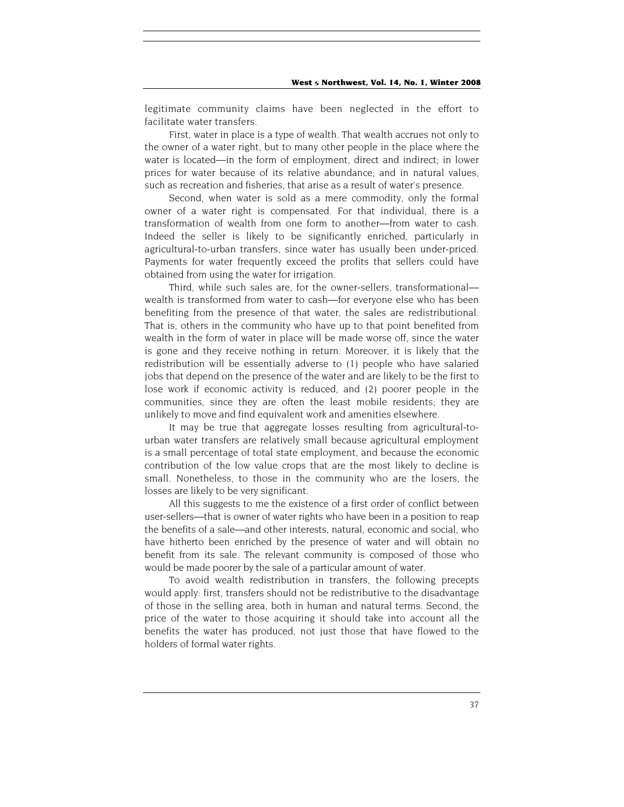legitimate community claims have been neglected in the effort to facilitate water transfers.

First, water in place is a type of wealth. That wealth accrues not only to the owner of a water right, but to many other people in the place where the water is located—in the form of employment, direct and indirect; in lower prices for water because of its relative abundance; and in natural values, such as recreation and fisheries, that arise as a result of water's presence.

Second, when water is sold as a mere commodity, only the formal owner of a water right is compensated. For that individual, there is a transformation of wealth from one form to another—from water to cash. Indeed the seller is likely to be significantly enriched, particularly in agricultural-to-urban transfers, since water has usually been under-priced. Payments for water frequently exceed the profits that sellers could have obtained from using the water for irrigation.

Third, while such sales are, for the owner-sellers, transformational wealth is transformed from water to cash—for everyone else who has been benefiting from the presence of that water, the sales are redistributional. That is, others in the community who have up to that point benefited from wealth in the form of water in place will be made worse off, since the water is gone and they receive nothing in return. Moreover, it is likely that the redistribution will be essentially adverse to (1) people who have salaried jobs that depend on the presence of the water and are likely to be the first to lose work if economic activity is reduced, and (2) poorer people in the communities, since they are often the least mobile residents; they are unlikely to move and find equivalent work and amenities elsewhere.

It may be true that aggregate losses resulting from agricultural-tourban water transfers are relatively small because agricultural employment is a small percentage of total state employment, and because the economic contribution of the low value crops that are the most likely to decline is small. Nonetheless, to those in the community who are the losers, the losses are likely to be very significant.

All this suggests to me the existence of a first order of conflict between user-sellers—that is owner of water rights who have been in a position to reap the benefits of a sale—and other interests, natural, economic and social, who have hitherto been enriched by the presence of water and will obtain no benefit from its sale. The relevant community is composed of those who would be made poorer by the sale of a particular amount of water.

To avoid wealth redistribution in transfers, the following precepts would apply: first, transfers should not be redistributive to the disadvantage of those in the selling area, both in human and natural terms. Second, the price of the water to those acquiring it should take into account all the benefits the water has produced, not just those that have flowed to the holders of formal water rights.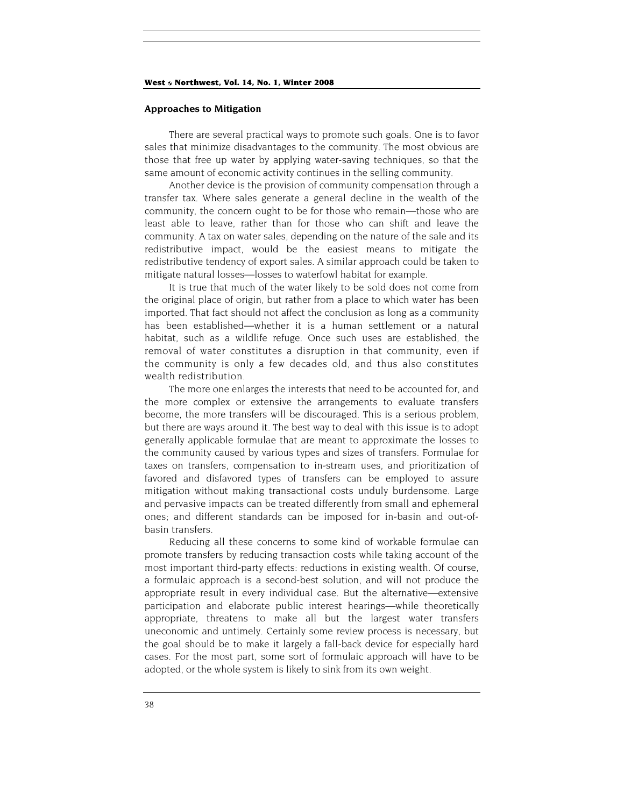#### **Approaches to Mitigation**

There are several practical ways to promote such goals. One is to favor sales that minimize disadvantages to the community. The most obvious are those that free up water by applying water-saving techniques, so that the same amount of economic activity continues in the selling community.

Another device is the provision of community compensation through a transfer tax. Where sales generate a general decline in the wealth of the community, the concern ought to be for those who remain—those who are least able to leave, rather than for those who can shift and leave the community. A tax on water sales, depending on the nature of the sale and its redistributive impact, would be the easiest means to mitigate the redistributive tendency of export sales. A similar approach could be taken to mitigate natural losses—losses to waterfowl habitat for example.

It is true that much of the water likely to be sold does not come from the original place of origin, but rather from a place to which water has been imported. That fact should not affect the conclusion as long as a community has been established—whether it is a human settlement or a natural habitat, such as a wildlife refuge. Once such uses are established, the removal of water constitutes a disruption in that community, even if the community is only a few decades old, and thus also constitutes wealth redistribution.

The more one enlarges the interests that need to be accounted for, and the more complex or extensive the arrangements to evaluate transfers become, the more transfers will be discouraged. This is a serious problem, but there are ways around it. The best way to deal with this issue is to adopt generally applicable formulae that are meant to approximate the losses to the community caused by various types and sizes of transfers. Formulae for taxes on transfers, compensation to in-stream uses, and prioritization of favored and disfavored types of transfers can be employed to assure mitigation without making transactional costs unduly burdensome. Large and pervasive impacts can be treated differently from small and ephemeral ones; and different standards can be imposed for in-basin and out-ofbasin transfers.

Reducing all these concerns to some kind of workable formulae can promote transfers by reducing transaction costs while taking account of the most important third-party effects: reductions in existing wealth. Of course, a formulaic approach is a second-best solution, and will not produce the appropriate result in every individual case. But the alternative—extensive participation and elaborate public interest hearings—while theoretically appropriate, threatens to make all but the largest water transfers uneconomic and untimely. Certainly some review process is necessary, but the goal should be to make it largely a fall-back device for especially hard cases. For the most part, some sort of formulaic approach will have to be adopted, or the whole system is likely to sink from its own weight.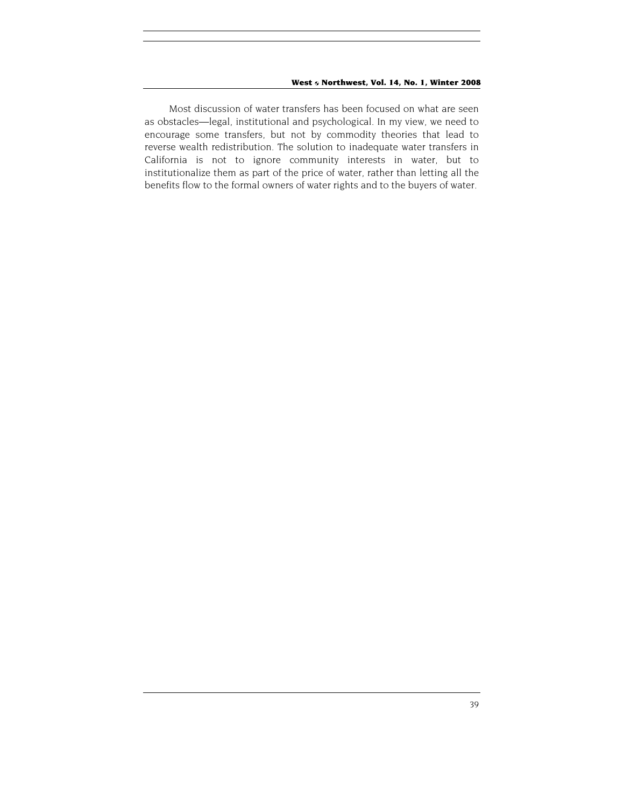Most discussion of water transfers has been focused on what are seen as obstacles—legal, institutional and psychological. In my view, we need to encourage some transfers, but not by commodity theories that lead to reverse wealth redistribution. The solution to inadequate water transfers in California is not to ignore community interests in water, but to institutionalize them as part of the price of water, rather than letting all the benefits flow to the formal owners of water rights and to the buyers of water.